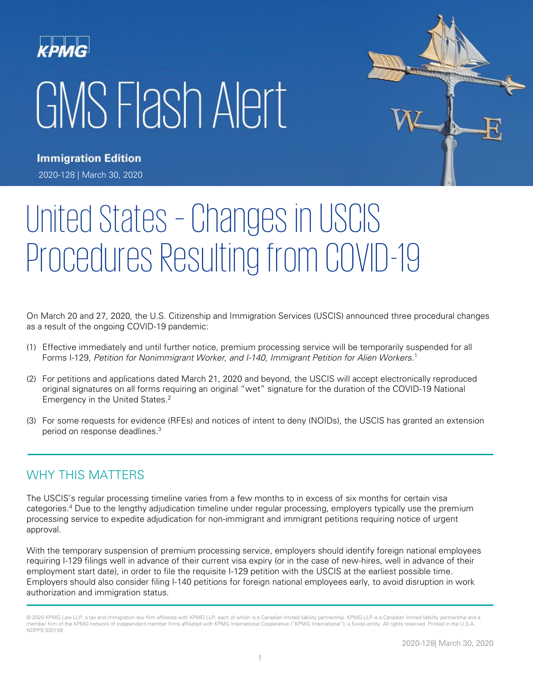# GMS Flash Alert



**Immigration Edition** 2020-128 | March 30, 2020

# United States – Changes in USCIS Procedures Resulting from COVID-19

On March 20 and 27, 2020, the U.S. Citizenship and Immigration Services (USCIS) announced three procedural changes as a result of the ongoing COVID-19 pandemic:

- (1) Effective immediately and until further notice, premium processing service will be temporarily suspended for all Forms I-129, Petition for Nonimmigrant Worker, and I-140, Immigrant Petition for Alien Workers.<sup>1</sup>
- (2) For petitions and applications dated March 21, 2020 and beyond, the USCIS will accept electronically reproduced original signatures on all forms requiring an original "wet" signature for the duration of the COVID-19 National Emergency in the United States.<sup>2</sup>
- (3) For some requests for evidence (RFEs) and notices of intent to deny (NOIDs), the USCIS has granted an extension period on response deadlines. 3

### WHY THIS MATTERS

The USCIS's regular processing timeline varies from a few months to in excess of six months for certain visa categories.<sup>4</sup> Due to the lengthy adjudication timeline under regular processing, employers typically use the premium processing service to expedite adjudication for non-immigrant and immigrant petitions requiring notice of urgent approval.

With the temporary suspension of premium processing service, employers should identify foreign national employees requiring I-129 filings well in advance of their current visa expiry (or in the case of new-hires, well in advance of their employment start date), in order to file the requisite I-129 petition with the USCIS at the earliest possible time. Employers should also consider filing I-140 petitions for foreign national employees early, to avoid disruption in work authorization and immigration status.

<sup>© 2020</sup> KPMG Law LLP, a tax and immigration law firm affiliated with KPMG LLP, each of which is a Canadian limited liability partnership. KPMG LLP is a Canadian limited liability partnership and a member firm of the KPMG network of independent member firms affiliated with KPMG International Cooperative ("KPMG International"), a Swiss entity. All rights reserved. Printed in the U.S.A. NDPPS 530159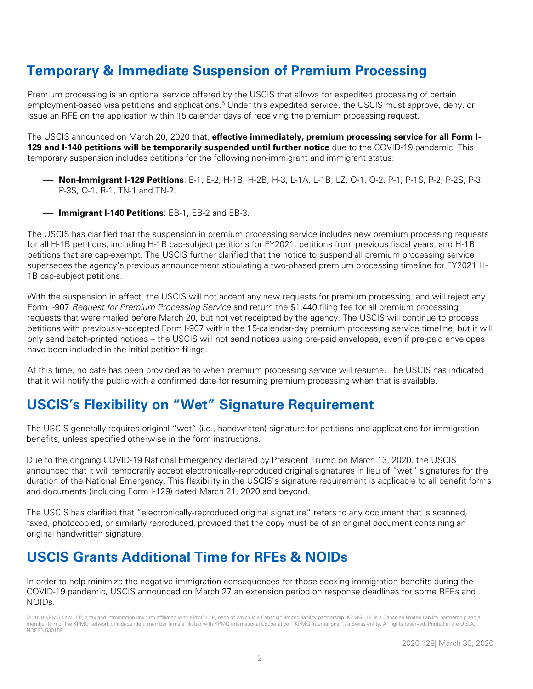# **Temporary & Immediate Suspension of Premium Processing**

Premium processing is an optional service offered by the USCIS that allows for expedited processing of certain employment-based visa petitions and applications.<sup>5</sup> Under this expedited service, the USCIS must approve, deny, or issue an RFE on the application within 15 calendar days of receiving the premium processing request.

The USCIS announced on March 20, 2020 that, **effective immediately, premium processing service for all Form I-129 and I-140 petitions will be temporarily suspended until further notice** due to the COVID-19 pandemic. This temporary suspension includes petitions for the following non-immigrant and immigrant status:

- **Non-Immigrant I-129 Petitions**: E-1, E-2, H-1B, H-2B, H-3, L-1A, L-1B, LZ, O-1, O-2, P-1, P-1S, P-2, P-2S, P-3, P-3S, Q-1, R-1, TN-1 and TN-2.
- **Immigrant I-140 Petitions**: EB-1, EB-2 and EB-3.

The USCIS has clarified that the suspension in premium processing service includes new premium processing requests for all H-1B petitions, including H-1B cap-subject petitions for FY2021, petitions from previous fiscal years, and H-1B petitions that are cap-exempt. The USCIS further clarified that the notice to suspend all premium processing service supersedes the agency's previous announcement stipulating a two-phased premium processing timeline for FY2021 H-1B cap-subject petitions.

With the suspension in effect, the USCIS will not accept any new requests for premium processing, and will reject any Form I-907 Request for Premium Processing Service and return the \$1,440 filing fee for all premium processing requests that were mailed before March 20, but not yet receipted by the agency. The USCIS will continue to process petitions with previously-accepted Form I-907 within the 15-calendar-day premium processing service timeline, but it will only send batch-printed notices – the USCIS will not send notices using pre-paid envelopes, even if pre-paid envelopes have been included in the initial petition filings.

At this time, no date has been provided as to when premium processing service will resume. The USCIS has indicated that it will notify the public with a confirmed date for resuming premium processing when that is available.

## **USCIS's Flexibility on "Wet" Signature Requirement**

The USCIS generally requires original "wet" (i.e., handwritten) signature for petitions and applications for immigration benefits, unless specified otherwise in the form instructions.

Due to the ongoing COVID-19 National Emergency declared by President Trump on March 13, 2020, the USCIS announced that it will temporarily accept electronically-reproduced original signatures in lieu of "wet" signatures for the duration of the National Emergency. This flexibility in the USCIS's signature requirement is applicable to all benefit forms and documents (including Form I-129) dated March 21, 2020 and beyond.

The USCIS has clarified that "electronically-reproduced original signature" refers to any document that is scanned, faxed, photocopied, or similarly reproduced, provided that the copy must be of an original document containing an original handwritten signature.

# **USCIS Grants Additional Time for RFEs & NOIDs**

In order to help minimize the negative immigration consequences for those seeking immigration benefits during the COVID-19 pandemic, USCIS announced on March 27 an extension period on response deadlines for some RFEs and NOIDs.

© 2020 KPMG Law LLP, a tax and immigration law firm affiliated with KPMG LLP, each of which is a Canadian limited liability partnership. KPMG LLP is a Canadian limited liability partnership and a member firm of the KPMG network of independent member firms affiliated with KPMG International Cooperative ("KPMG International"), a Swiss entity. All rights reserved. Printed in the U.S.A. NDPPS 530159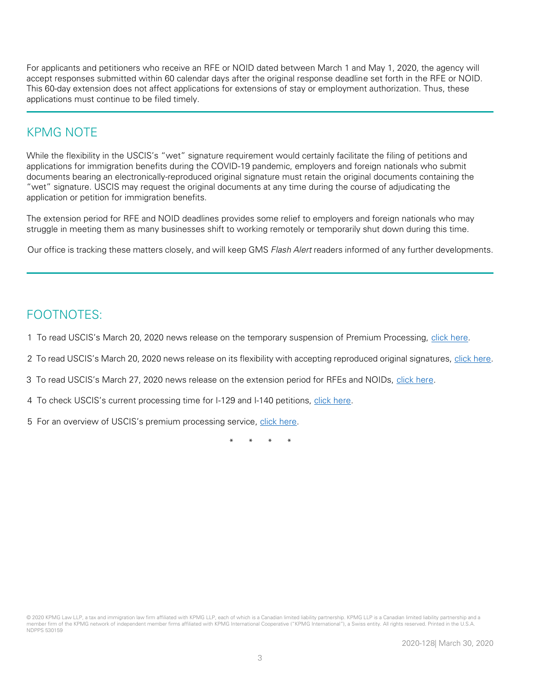For applicants and petitioners who receive an RFE or NOID dated between March 1 and May 1, 2020, the agency will accept responses submitted within 60 calendar days after the original response deadline set forth in the RFE or NOID. This 60-day extension does not affect applications for extensions of stay or employment authorization. Thus, these applications must continue to be filed timely.

#### KPMG NOTE

While the flexibility in the USCIS's "wet" signature requirement would certainly facilitate the filing of petitions and applications for immigration benefits during the COVID-19 pandemic, employers and foreign nationals who submit documents bearing an electronically-reproduced original signature must retain the original documents containing the "wet" signature. USCIS may request the original documents at any time during the course of adjudicating the application or petition for immigration benefits.

The extension period for RFE and NOID deadlines provides some relief to employers and foreign nationals who may struggle in meeting them as many businesses shift to working remotely or temporarily shut down during this time.

Our office is tracking these matters closely, and will keep GMS Flash Alert readers informed of any further developments.

### FOOTNOTES:

- 1 To read USCIS's March 20, 2020 news release on the temporary suspension of Premium Processing, [click here.](https://www.uscis.gov/working-united-states/temporary-workers/uscis-announces-temporary-suspension-premium-processing-all-i-129-and-i-140-petitions-due-coronavirus-pandemic)
- 2 To read USCIS's March 20, 2020 news release on its flexibility with accepting reproduced original signatures, [click here.](https://www.uscis.gov/news/alerts/uscis-announces-flexibility-submitting-required-signatures-during-covid-19-national-emergency)
- 3 To read USCIS's March 27, 2020 news release on the extension period for RFEs and NOIDs, [click here.](https://www.uscis.gov/news/alerts/uscis-announces-flexibility-requests-evidence-notices-intent-deny)
- 4 To check USCIS's current processing time for I-129 and I-140 petitions, [click here.](https://egov.uscis.gov/processing-times/)
- 5 For an overview of USCIS's premium processing service, [click here.](https://www.uscis.gov/forms/how-do-i-request-premium-processing)

\* \* \* \*

<sup>© 2020</sup> KPMG Law LLP, a tax and immigration law firm affiliated with KPMG LLP, each of which is a Canadian limited liability partnership. KPMG LLP is a Canadian limited liability partnership and a member firm of the KPMG network of independent member firms affiliated with KPMG International Cooperative ("KPMG International"), a Swiss entity. All rights reserved. Printed in the U.S.A. NDPPS 530159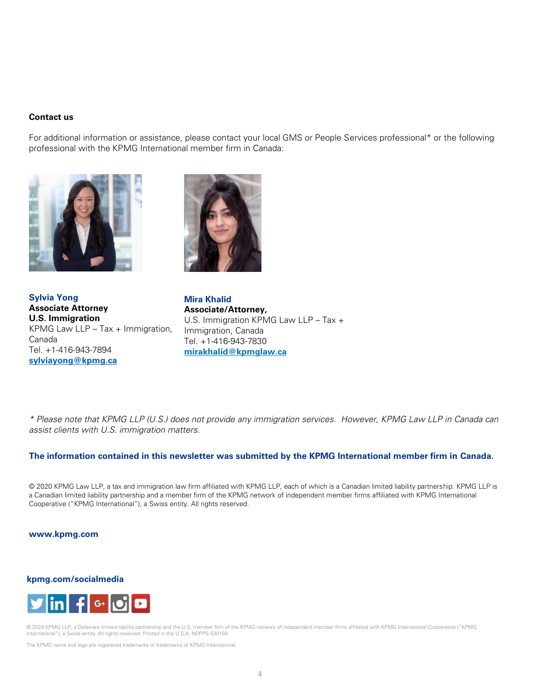#### **Contact us**

For additional information or assistance, please contact your local GMS or People Services professional\* or the following professional with the KPMG International member firm in Canada:





**Sylvia Yong Associate Attorney U.S. Immigration**  KPMG Law LLP – Tax + Immigration, Canada Tel. +1-416-943-7894 **[sylviayong@kpmg.ca](mailto:sylviayong@kpmg.ca)**

**Mira Khalid Associate/Attorney,** U.S. Immigration KPMG Law LLP – Tax + Immigration, Canada Tel. +1-416-943-7830 **mirakhalid@kpmglaw.ca**

\* Please note that KPMG LLP (U.S.) does not provide any immigration services. However, KPMG Law LLP in Canada can assist clients with U.S. immigration matters.

#### **The information contained in this newsletter was submitted by the KPMG International member firm in Canada.**

© 2020 KPMG Law LLP, a tax and immigration law firm affiliated with KPMG LLP, each of which is a Canadian limited liability partnership. KPMG LLP is a Canadian limited liability partnership and a member firm of the KPMG network of independent member firms affiliated with KPMG International Cooperative ("KPMG International"), a Swiss entity. All rights reserved.

#### **www.kpmg.com**

#### **kpmg.com/socialmedia**



© 2020 KPMG LLP, a Delaware limited liability partnership and the U.S. member firm of the KPMG network of independent member firms affiliated with KPMG International Cooperative ("KPMG International"), a Swiss entity. All rights reserved. Printed in the U.S.A. NDPPS 530159

The KPMG name and logo are registered trademarks or trademarks of KPMG International.